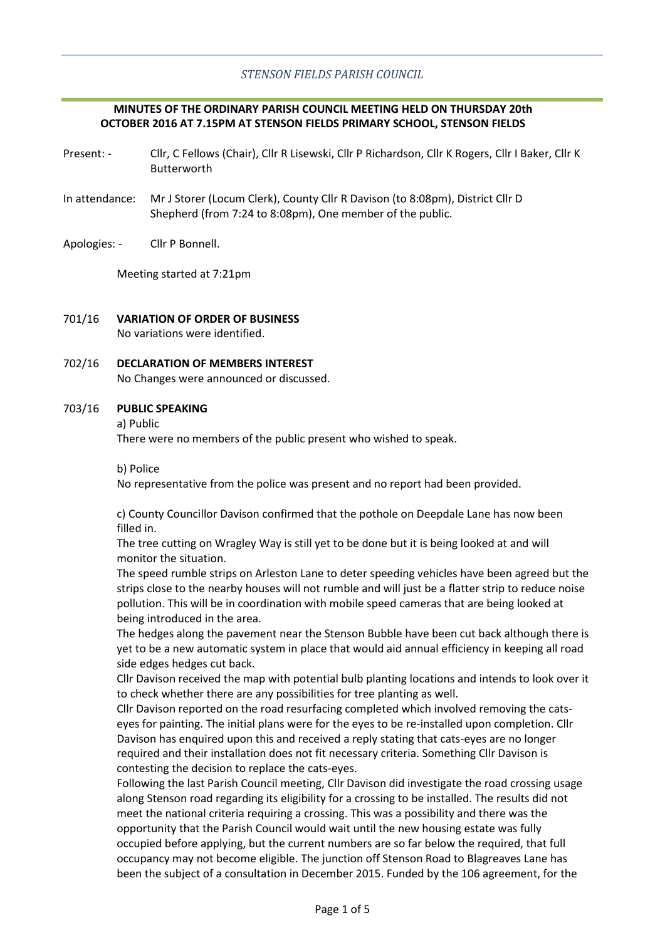# *STENSON FIELDS PARISH COUNCIL*

# **MINUTES OF THE ORDINARY PARISH COUNCIL MEETING HELD ON THURSDAY 20th OCTOBER 2016 AT 7.15PM AT STENSON FIELDS PRIMARY SCHOOL, STENSON FIELDS**

- Present: Cllr, C Fellows (Chair), Cllr R Lisewski, Cllr P Richardson, Cllr K Rogers, Cllr I Baker, Cllr K Butterworth
- In attendance: Mr J Storer (Locum Clerk), County Cllr R Davison (to 8:08pm), District Cllr D Shepherd (from 7:24 to 8:08pm), One member of the public.
- Apologies: Cllr P Bonnell.

Meeting started at 7:21pm

- 701/16 **VARIATION OF ORDER OF BUSINESS** No variations were identified.
- 702/16 **DECLARATION OF MEMBERS INTEREST** No Changes were announced or discussed.

#### 703/16 **PUBLIC SPEAKING**

a) Public

There were no members of the public present who wished to speak.

b) Police

No representative from the police was present and no report had been provided.

c) County Councillor Davison confirmed that the pothole on Deepdale Lane has now been filled in.

The tree cutting on Wragley Way is still yet to be done but it is being looked at and will monitor the situation.

The speed rumble strips on Arleston Lane to deter speeding vehicles have been agreed but the strips close to the nearby houses will not rumble and will just be a flatter strip to reduce noise pollution. This will be in coordination with mobile speed cameras that are being looked at being introduced in the area.

The hedges along the pavement near the Stenson Bubble have been cut back although there is yet to be a new automatic system in place that would aid annual efficiency in keeping all road side edges hedges cut back.

Cllr Davison received the map with potential bulb planting locations and intends to look over it to check whether there are any possibilities for tree planting as well.

Cllr Davison reported on the road resurfacing completed which involved removing the catseyes for painting. The initial plans were for the eyes to be re-installed upon completion. Cllr Davison has enquired upon this and received a reply stating that cats-eyes are no longer required and their installation does not fit necessary criteria. Something Cllr Davison is contesting the decision to replace the cats-eyes.

Following the last Parish Council meeting, Cllr Davison did investigate the road crossing usage along Stenson road regarding its eligibility for a crossing to be installed. The results did not meet the national criteria requiring a crossing. This was a possibility and there was the opportunity that the Parish Council would wait until the new housing estate was fully occupied before applying, but the current numbers are so far below the required, that full occupancy may not become eligible. The junction off Stenson Road to Blagreaves Lane has been the subject of a consultation in December 2015. Funded by the 106 agreement, for the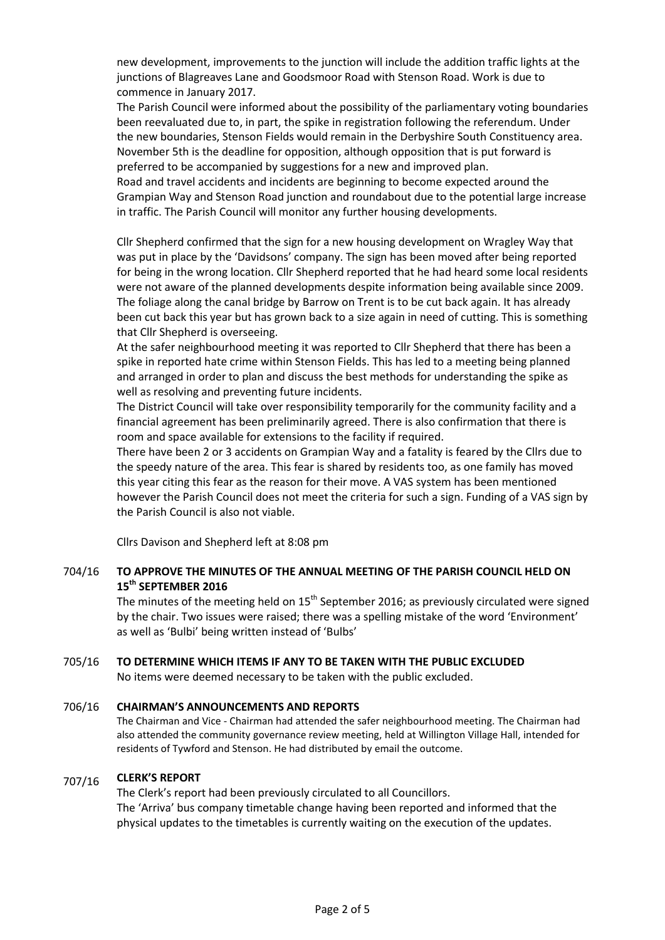new development, improvements to the junction will include the addition traffic lights at the junctions of Blagreaves Lane and Goodsmoor Road with Stenson Road. Work is due to commence in January 2017.

The Parish Council were informed about the possibility of the parliamentary voting boundaries been reevaluated due to, in part, the spike in registration following the referendum. Under the new boundaries, Stenson Fields would remain in the Derbyshire South Constituency area. November 5th is the deadline for opposition, although opposition that is put forward is preferred to be accompanied by suggestions for a new and improved plan.

Road and travel accidents and incidents are beginning to become expected around the Grampian Way and Stenson Road junction and roundabout due to the potential large increase in traffic. The Parish Council will monitor any further housing developments.

Cllr Shepherd confirmed that the sign for a new housing development on Wragley Way that was put in place by the 'Davidsons' company. The sign has been moved after being reported for being in the wrong location. Cllr Shepherd reported that he had heard some local residents were not aware of the planned developments despite information being available since 2009. The foliage along the canal bridge by Barrow on Trent is to be cut back again. It has already been cut back this year but has grown back to a size again in need of cutting. This is something that Cllr Shepherd is overseeing.

At the safer neighbourhood meeting it was reported to Cllr Shepherd that there has been a spike in reported hate crime within Stenson Fields. This has led to a meeting being planned and arranged in order to plan and discuss the best methods for understanding the spike as well as resolving and preventing future incidents.

The District Council will take over responsibility temporarily for the community facility and a financial agreement has been preliminarily agreed. There is also confirmation that there is room and space available for extensions to the facility if required.

There have been 2 or 3 accidents on Grampian Way and a fatality is feared by the Cllrs due to the speedy nature of the area. This fear is shared by residents too, as one family has moved this year citing this fear as the reason for their move. A VAS system has been mentioned however the Parish Council does not meet the criteria for such a sign. Funding of a VAS sign by the Parish Council is also not viable.

Cllrs Davison and Shepherd left at 8:08 pm

### 704/16 **TO APPROVE THE MINUTES OF THE ANNUAL MEETING OF THE PARISH COUNCIL HELD ON 15th SEPTEMBER 2016**

The minutes of the meeting held on  $15^{th}$  September 2016; as previously circulated were signed by the chair. Two issues were raised; there was a spelling mistake of the word 'Environment' as well as 'Bulbi' being written instead of 'Bulbs'

#### 705/16 **TO DETERMINE WHICH ITEMS IF ANY TO BE TAKEN WITH THE PUBLIC EXCLUDED**

No items were deemed necessary to be taken with the public excluded.

#### 706/16 **CHAIRMAN'S ANNOUNCEMENTS AND REPORTS**

The Chairman and Vice - Chairman had attended the safer neighbourhood meeting. The Chairman had also attended the community governance review meeting, held at Willington Village Hall, intended for residents of Tywford and Stenson. He had distributed by email the outcome.

#### 707/16 **CLERK'S REPORT**

The Clerk's report had been previously circulated to all Councillors. The 'Arriva' bus company timetable change having been reported and informed that the physical updates to the timetables is currently waiting on the execution of the updates.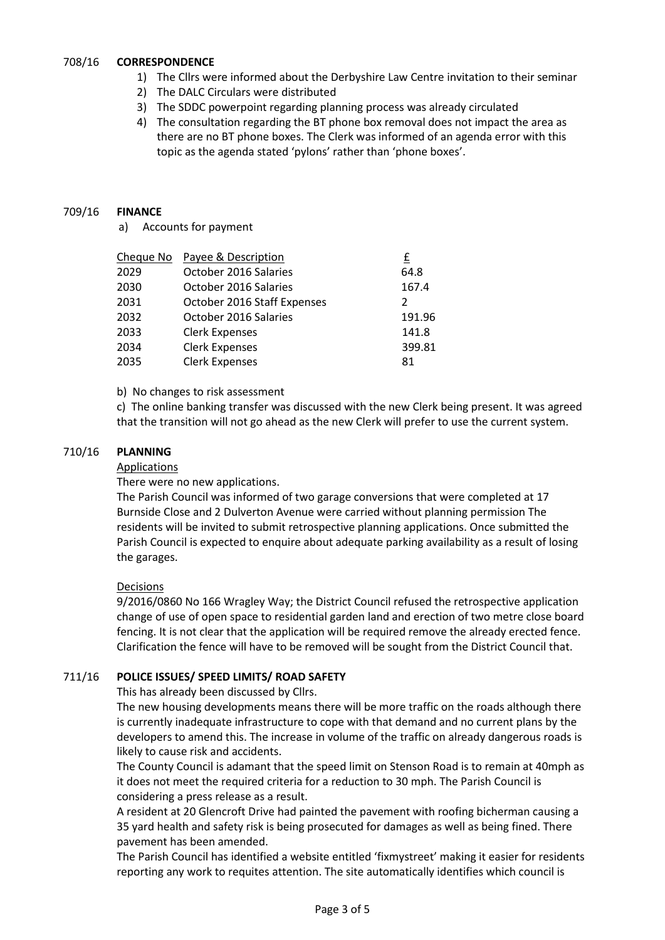#### 708/16 **CORRESPONDENCE**

- 1) The Cllrs were informed about the Derbyshire Law Centre invitation to their seminar
	- 2) The DALC Circulars were distributed
	- 3) The SDDC powerpoint regarding planning process was already circulated
	- 4) The consultation regarding the BT phone box removal does not impact the area as there are no BT phone boxes. The Clerk was informed of an agenda error with this topic as the agenda stated 'pylons' rather than 'phone boxes'.

#### 709/16 **FINANCE**

a) Accounts for payment

| Cheque No | Payee & Description         | £      |
|-----------|-----------------------------|--------|
| 2029      | October 2016 Salaries       | 64.8   |
| 2030      | October 2016 Salaries       | 167.4  |
| 2031      | October 2016 Staff Expenses | 2      |
| 2032      | October 2016 Salaries       | 191.96 |
| 2033      | <b>Clerk Expenses</b>       | 141.8  |
| 2034      | <b>Clerk Expenses</b>       | 399.81 |
| 2035      | <b>Clerk Expenses</b>       | 81     |
|           |                             |        |

## b) No changes to risk assessment

c) The online banking transfer was discussed with the new Clerk being present. It was agreed that the transition will not go ahead as the new Clerk will prefer to use the current system.

#### 710/16 **PLANNING**

### Applications

There were no new applications.

The Parish Council was informed of two garage conversions that were completed at 17 Burnside Close and 2 Dulverton Avenue were carried without planning permission The residents will be invited to submit retrospective planning applications. Once submitted the Parish Council is expected to enquire about adequate parking availability as a result of losing the garages.

## Decisions

9/2016/0860 No 166 Wragley Way; the District Council refused the retrospective application change of use of open space to residential garden land and erection of two metre close board fencing. It is not clear that the application will be required remove the already erected fence. Clarification the fence will have to be removed will be sought from the District Council that.

#### 711/16 **POLICE ISSUES/ SPEED LIMITS/ ROAD SAFETY**

This has already been discussed by Cllrs.

The new housing developments means there will be more traffic on the roads although there is currently inadequate infrastructure to cope with that demand and no current plans by the developers to amend this. The increase in volume of the traffic on already dangerous roads is likely to cause risk and accidents.

The County Council is adamant that the speed limit on Stenson Road is to remain at 40mph as it does not meet the required criteria for a reduction to 30 mph. The Parish Council is considering a press release as a result.

A resident at 20 Glencroft Drive had painted the pavement with roofing bicherman causing a 35 yard health and safety risk is being prosecuted for damages as well as being fined. There pavement has been amended.

The Parish Council has identified a website entitled 'fixmystreet' making it easier for residents reporting any work to requites attention. The site automatically identifies which council is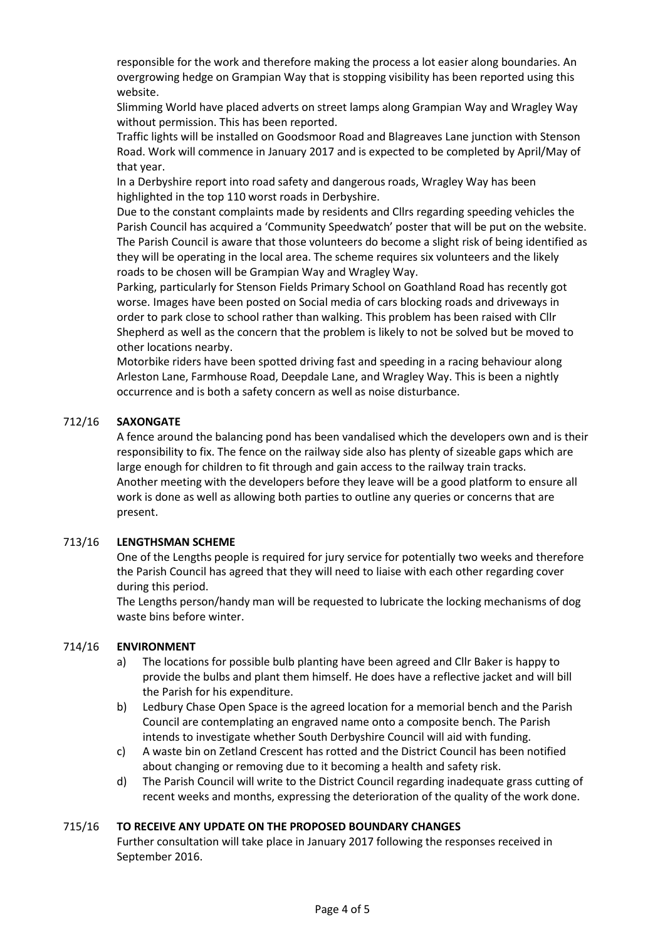responsible for the work and therefore making the process a lot easier along boundaries. An overgrowing hedge on Grampian Way that is stopping visibility has been reported using this website.

Slimming World have placed adverts on street lamps along Grampian Way and Wragley Way without permission. This has been reported.

Traffic lights will be installed on Goodsmoor Road and Blagreaves Lane junction with Stenson Road. Work will commence in January 2017 and is expected to be completed by April/May of that year.

In a Derbyshire report into road safety and dangerous roads, Wragley Way has been highlighted in the top 110 worst roads in Derbyshire.

Due to the constant complaints made by residents and Cllrs regarding speeding vehicles the Parish Council has acquired a 'Community Speedwatch' poster that will be put on the website. The Parish Council is aware that those volunteers do become a slight risk of being identified as they will be operating in the local area. The scheme requires six volunteers and the likely roads to be chosen will be Grampian Way and Wragley Way.

Parking, particularly for Stenson Fields Primary School on Goathland Road has recently got worse. Images have been posted on Social media of cars blocking roads and driveways in order to park close to school rather than walking. This problem has been raised with Cllr Shepherd as well as the concern that the problem is likely to not be solved but be moved to other locations nearby.

Motorbike riders have been spotted driving fast and speeding in a racing behaviour along Arleston Lane, Farmhouse Road, Deepdale Lane, and Wragley Way. This is been a nightly occurrence and is both a safety concern as well as noise disturbance.

#### 712/16 **SAXONGATE**

A fence around the balancing pond has been vandalised which the developers own and is their responsibility to fix. The fence on the railway side also has plenty of sizeable gaps which are large enough for children to fit through and gain access to the railway train tracks. Another meeting with the developers before they leave will be a good platform to ensure all work is done as well as allowing both parties to outline any queries or concerns that are present.

#### 713/16 **LENGTHSMAN SCHEME**

One of the Lengths people is required for jury service for potentially two weeks and therefore the Parish Council has agreed that they will need to liaise with each other regarding cover during this period.

The Lengths person/handy man will be requested to lubricate the locking mechanisms of dog waste bins before winter.

#### 714/16 **ENVIRONMENT**

- a) The locations for possible bulb planting have been agreed and Cllr Baker is happy to provide the bulbs and plant them himself. He does have a reflective jacket and will bill the Parish for his expenditure.
- b) Ledbury Chase Open Space is the agreed location for a memorial bench and the Parish Council are contemplating an engraved name onto a composite bench. The Parish intends to investigate whether South Derbyshire Council will aid with funding.
- c) A waste bin on Zetland Crescent has rotted and the District Council has been notified about changing or removing due to it becoming a health and safety risk.
- d) The Parish Council will write to the District Council regarding inadequate grass cutting of recent weeks and months, expressing the deterioration of the quality of the work done.

#### 715/16 **TO RECEIVE ANY UPDATE ON THE PROPOSED BOUNDARY CHANGES**

Further consultation will take place in January 2017 following the responses received in September 2016.